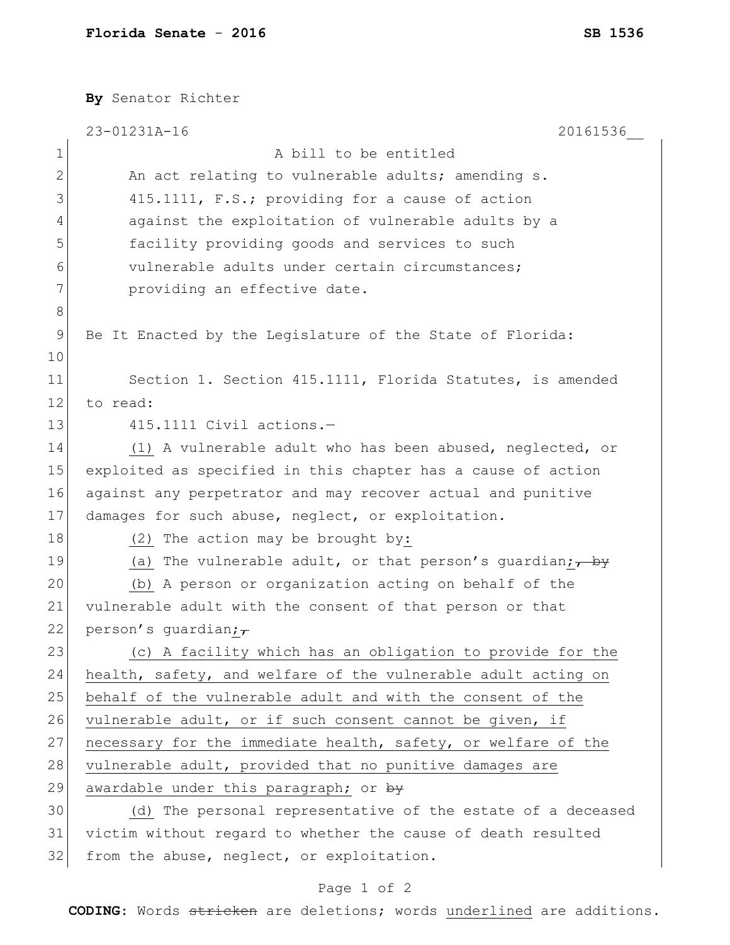|               | By Senator Richter                                                   |
|---------------|----------------------------------------------------------------------|
|               | 23-01231A-16<br>20161536                                             |
| $\mathbf 1$   | A bill to be entitled                                                |
| $\mathbf{2}$  | An act relating to vulnerable adults; amending s.                    |
| 3             | 415.1111, F.S.; providing for a cause of action                      |
| 4             | against the exploitation of vulnerable adults by a                   |
| 5             | facility providing goods and services to such                        |
| 6             | vulnerable adults under certain circumstances;                       |
| 7             | providing an effective date.                                         |
| 8             |                                                                      |
| $\mathcal{G}$ | Be It Enacted by the Legislature of the State of Florida:            |
| 10            |                                                                      |
| 11            | Section 1. Section 415.1111, Florida Statutes, is amended            |
| 12            | to read:                                                             |
| 13            | 415.1111 Civil actions.-                                             |
| 14            | (1) A vulnerable adult who has been abused, neglected, or            |
| 15            | exploited as specified in this chapter has a cause of action         |
| 16            | against any perpetrator and may recover actual and punitive          |
| 17            | damages for such abuse, neglect, or exploitation.                    |
| 18            | (2) The action may be brought by:                                    |
| 19            | (a) The vulnerable adult, or that person's guardian; $\frac{1}{1+y}$ |
| 20            | (b) A person or organization acting on behalf of the                 |
| 21            | vulnerable adult with the consent of that person or that             |
| 22            | person's quardian; $\tau$                                            |
| 23            | (c) A facility which has an obligation to provide for the            |
| 24            | health, safety, and welfare of the vulnerable adult acting on        |
| 25            | behalf of the vulnerable adult and with the consent of the           |
| 26            | vulnerable adult, or if such consent cannot be given, if             |
| 27            | necessary for the immediate health, safety, or welfare of the        |
| 28            | vulnerable adult, provided that no punitive damages are              |
| 29            | awardable under this paragraph; or by                                |
| 30            | (d) The personal representative of the estate of a deceased          |
| 31            | victim without regard to whether the cause of death resulted         |
| 32            | from the abuse, neglect, or exploitation.                            |

## Page 1 of 2

**CODING**: Words stricken are deletions; words underlined are additions.